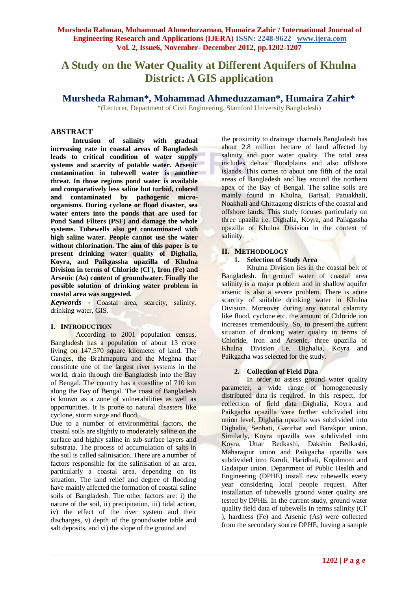# **A Study on the Water Quality at Different Aquifers of Khulna District: A GIS application**

**Mursheda Rahman\*, Mohammad Ahmeduzzaman\*, Humaira Zahir\***

\*(Lecturer, Department of Civil Engineering, Stamford University Bangladesh)

## **ABSTRACT**

**Intrusion of salinity with gradual increasing rate in coastal areas of Bangladesh leads to critical condition of water supply systems and scarcity of potable water. Arsenic contamination in tubewell water is another threat. In those regions pond water is available and comparatively less saline but turbid, colored and contaminated by pathogenic microorganisms. During cyclone or flood disaster, sea water enters into the ponds that are used for Pond Sand Filters (PSF) and damage the whole systems. Tubewells also get contaminated with high saline water. People cannot use the water without chlorination. The aim of this paper is to present drinking water quality of Dighalia, Koyra, and Paikgassha upazilla of Khulna Division in terms of Chloride (Cl- ), Iron (Fe) and Arsenic (As) content of groundwater. Finally the possible solution of drinking water problem in coastal area was suggested.**

*Keywords* **-** Coastal area, scarcity, salinity, drinking water, GIS.

#### **I. INTRODUCTION**

According to 2001 population census, Bangladesh has a population of about 13 crore living on 147,570 square kilometer of land. The Ganges, the Brahmaputra and the Meghna that constitute one of the largest river systems in the world, drain through the Bangladesh into the Bay of Bengal. The country has a coastline of 710 km along the Bay of Bengal. The coast of Bangladesh is known as a zone of vulnerabilities as well as opportunities. It is prone to natural disasters like cyclone, storm surge and flood.

Due to a number of environmental factors, the coastal soils are slightly to moderately saline on the surface and highly saline in sub-surface layers and substrata. The process of accumulation of salts in the soil is called salinisation. There are a number of factors responsible for the salinisation of an area, particularly a coastal area, depending on its situation. The land relief and degree of flooding have mainly affected the formation of coastal saline soils of Bangladesh. The other factors are: i) the nature of the soil, ii) precipitation, iii) tidal action, iv) the effect of the river system and their discharges, v) depth of the groundwater table and salt deposits, and vi) the slope of the ground and

the proximity to drainage channels.Bangladesh has about 2.8 million hectare of land affected by salinity and poor water quality. The total area includes deltaic floodplains and also offshore islands. This comes to about one fifth of the total areas of Bangladesh and lies around the northern apex of the Bay of Bengal. The saline soils are mainly found in Khulna, Barisal, Patuakhali, Noakhali and Chittagong districts of the coastal and offshore lands. This study focuses particularly on three upazila i.e. Dighalia, Koyra, and Paikgassha upazilla of Khulna Division in the context of salinity.

#### **II. METHODOLOGY**

## **1. Selection of Study Area**

Khulna Division lies in the coastal belt of Bangladesh. In ground water of coastal area salinity is a major problem and in shallow aquifer arsenic is also a severe problem. There is acute scarcity of suitable drinking water in Khulna Division. Moreover during any natural calamity like flood, cyclone etc. the amount of Chloride ion increases tremendously. So, to present the current situation of drinking water quality in terms of Chloride, Iron and Arsenic, three upazilla of Khulna Division i.e. Dighalia, Koyra and Paikgacha was selected for the study.

#### **2. Collection of Field Data**

In order to assess ground water quality parameter, a wide range of homogeneously distributed data is required. In this respect, for collection of field data Dighalia, Koyra and Paikgacha upazilla were further subdivided into union level. Dighalia upazilla was subdivided into Dighalia, Senhati, Gazirhat and Barakpur union. Similarly, Koyra upazilla was subdivided into Koyra, Uttar Bedkashi, Dakshin Bedkashi, Maharajpur union and Paikgacha upazilla was subdivided into Raruli, Haridhali, Kopilmoni and Gadaipur union. Department of Public Health and Engineering (DPHE) install new tubewells every year considering local people request. After installation of tubewells ground water quality are tested by DPHE. In the current study, ground water quality field data of tubewells in terms salinity (Cl- ), hardness (Fe) and Arsenic (As) were collected from the secondary source DPHE, having a sample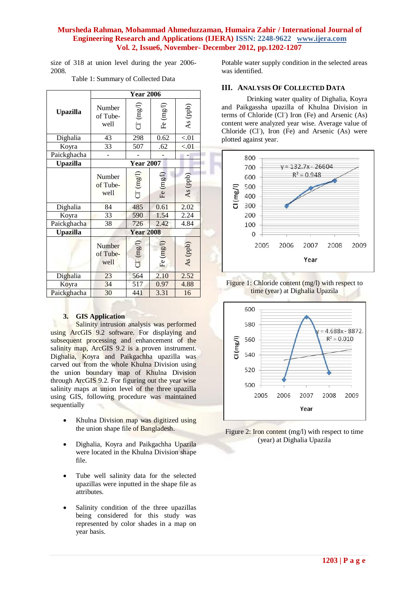size of 318 at union level during the year 2006- 2008.

Table 1: Summary of Collected Data

|                 | <b>Year 2006</b>           |                 |                      |          |
|-----------------|----------------------------|-----------------|----------------------|----------|
| <b>Upazilla</b> | Number<br>of Tube-<br>well | $Cl^-(mgI)$     | Fe $(\mathrm{mg/l})$ | As (ppb) |
| Dighalia        | 43                         | 298             | 0.62                 | < 01     |
| Koyra           | 33                         | 507             | .62                  | < 01     |
| Paickghacha     |                            |                 |                      |          |
| <b>Upazilla</b> | <b>Year 2007</b>           |                 |                      |          |
|                 | Number<br>of Tube-<br>well | $Cl^{r}$ (mg/l) | Fe (mg/l)            | As (ppb) |
| Dighalia        | 84                         | 485             | 0.61                 | 2.02     |
| Koyra           | 33                         | 590             | 1.54                 | 2.24     |
| Paickghacha     | 38                         | 726             | 2.42                 | 4.84     |
| <b>Upazilla</b> | <b>Year 2008</b>           |                 |                      |          |
|                 | Number<br>of Tube-<br>well | $Cl^{(mg/1)}$   | (mg/1)<br>E          | As (ppb) |
| Dighalia        | 23                         | 564             | 2.10                 | 2.52     |
| Koyra           | 34                         | 517             | 0.97                 | 4.88     |
| Paickghacha     | 30                         | 441             | 3.31                 | 16       |

#### **3. GIS Application**

Salinity intrusion analysis was performed using ArcGIS 9.2 software. For displaying and subsequent processing and enhancement of the salinity map, ArcGIS 9.2 is a proven instrument. Dighalia, Koyra and Paikgachha upazilla was carved out from the whole Khulna Division using the union boundary map of Khulna Division through ArcGIS 9.2. For figuring out the year wise salinity maps at union level of the three upazilla using GIS, following procedure was maintained sequentially

- Khulna Division map was digitized using the union shape file of Bangladesh.
- Dighalia, Koyra and Paikgachha Upazila were located in the Khulna Division shape file.
- Tube well salinity data for the selected upazillas were inputted in the shape file as attributes.
- Salinity condition of the three upazillas being considered for this study was represented by color shades in a map on year basis.

Potable water supply condition in the selected areas was identified.

## **III. ANALYSIS OF COLLECTED DATA**

Drinking water quality of Dighalia, Koyra and Paikgassha upazilla of Khulna Division in terms of Chloride (Cl<sup>-</sup>) Iron (Fe) and Arsenic (As) content were analyzed year wise. Average value of Chloride (Cl<sup>-</sup>), Iron (Fe) and Arsenic (As) were plotted against year.







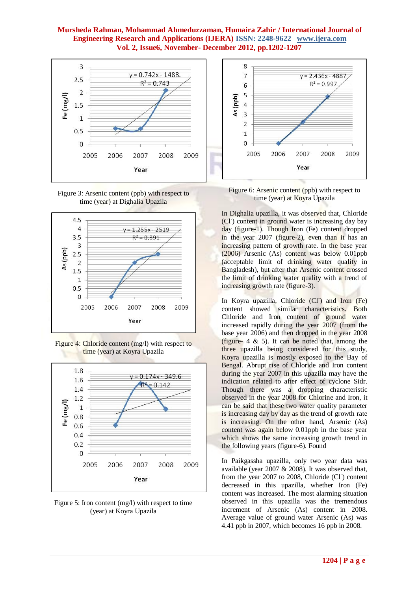









Figure 5: Iron content (mg/l) with respect to time (year) at Koyra Upazila



Figure 6: Arsenic content (ppb) with respect to time (year) at Koyra Upazila

In Dighalia upazilla, it was observed that, Chloride (Cl<sup>-</sup>) content in ground water is increasing day bay day (figure-1). Though Iron (Fe) content dropped in the year 2007 (figure-2), even than it has an increasing pattern of growth rate. In the base year (2006) Arsenic (As) content was below 0.01ppb (acceptable limit of drinking water quality in Bangladesh), but after that Arsenic content crossed the limit of drinking water quality with a trend of increasing growth rate (figure-3).

In Koyra upazilla, Chloride (Cl<sup>-</sup>) and Iron (Fe) content showed similar characteristics. Both Chloride and Iron content of ground water increased rapidly during the year 2007 (from the base year 2006) and then dropped in the year 2008 (figure-  $4 \& 5$ ). It can be noted that, among the three upazilla being considered for this study, Koyra upazilla is mostly exposed to the Bay of Bengal. Abrupt rise of Chloride and Iron content during the year 2007 in this upazilla may have the indication related to after effect of cyclone Sidr. Though there was a dropping characteristic observed in the year 2008 for Chlorine and Iron, it can be said that these two water quality parameter is increasing day by day as the trend of growth rate is increasing. On the other hand, Arsenic (As) content was again below 0.01ppb in the base year which shows the same increasing growth trend in the following years (figure-6). Found

In Paikgassha upazilla, only two year data was available (year 2007 & 2008). It was observed that, from the year 2007 to 2008, Chloride (Cl<sup>-</sup>) content decreased in this upazilla, whether Iron (Fe) content was increased. The most alarming situation observed in this upazilla was the tremendous increment of Arsenic (As) content in 2008. Average value of ground water Arsenic (As) was 4.41 ppb in 2007, which becomes 16 ppb in 2008.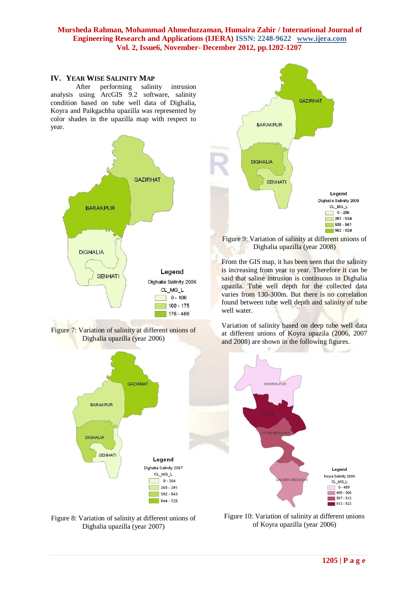#### **IV. YEAR WISE SALINITY MAP**

After performing salinity intrusion analysis using ArcGIS 9.2 software, salinity condition based on tube well data of Dighalia, Koyra and Paikgachha upazilla was represented by color shades in the upazilla map with respect to year.



Figure 7: Variation of salinity at different unions of Dighalia upazilla (year 2006)







Figure 9: Variation of salinity at different unions of Dighalia upazilla (year 2008)

From the GIS map, it has been seen that the salinity is increasing from year to year. Therefore it can be said that saline intrusion is continuous in Dighalia upazila. Tube well depth for the collected data varies from 130-300m. But there is no correlation found between tube well depth and salinity of tube well water.

Variation of salinity based on deep tube well data at different unions of Koyra upazila (2006, 2007 and 2008) are shown in the following figures.



Figure 10: Variation of salinity at different unions of Koyra upazilla (year 2006)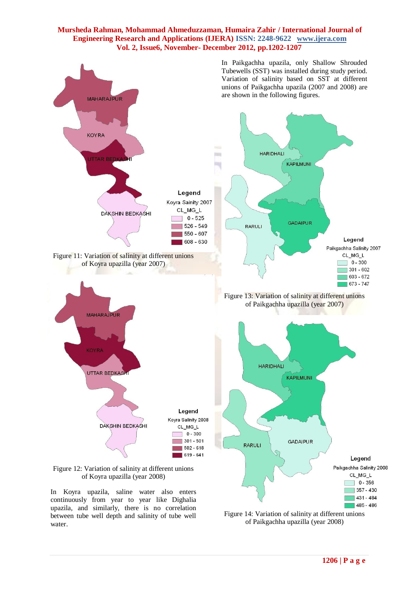

continuously from year to year like Dighalia upazila, and similarly, there is no correlation between tube well depth and salinity of tube well

water.

Figure 14: Variation of salinity at different unions of Paikgachha upazilla (year 2008)

 $1485 - 486$